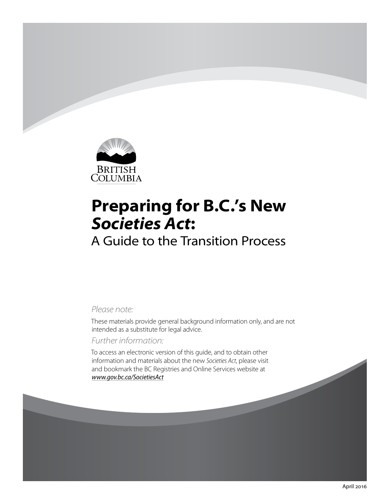

# **Preparing for B.C.'s New**  *Societies Act***:**

## A Guide to the Transition Process

### *Please note:*

These materials provide general background information only, and are not intended as a substitute for legal advice.

## *Further information:*

To access an electronic version of this guide, and to obtain other information and materials about the new *Societies Act*, please visit and bookmark the BC Registries and Online Services website at *[www.gov.bc.ca/SocietiesAct](http://www.gov.bc.ca/SocietiesAct)*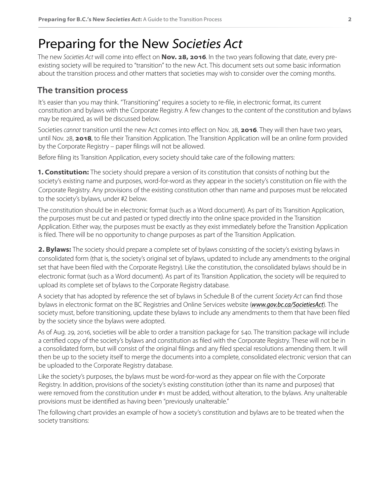## Preparing for the New *Societies Act*

The new *Societies Act* will come into effect on **Nov. 28, 2016**. In the two years following that date, every preexisting society will be required to "transition" to the new Act. This document sets out some basic information about the transition process and other matters that societies may wish to consider over the coming months.

## **The transition process**

It's easier than you may think. "Transitioning" requires a society to re-file, in electronic format, its current constitution and bylaws with the Corporate Registry. A few changes to the content of the constitution and bylaws may be required, as will be discussed below.

Societies *cannot* transition until the new Act comes into effect on Nov. 28, **2016**. They will then have two years, until Nov. 28, **2018**, to file their Transition Application. The Transition Application will be an online form provided by the Corporate Registry – paper filings will not be allowed.

Before filing its Transition Application, every society should take care of the following matters:

**1. Constitution:** The society should prepare a version of its constitution that consists of nothing but the society's existing name and purposes, word-for-word as they appear in the society's constitution on file with the Corporate Registry. Any provisions of the existing constitution other than name and purposes must be relocated to the society's bylaws, under #2 below.

The constitution should be in electronic format (such as a Word document). As part of its Transition Application, the purposes must be cut and pasted or typed directly into the online space provided in the Transition Application. Either way, the purposes must be exactly as they exist immediately before the Transition Application is filed. There will be no opportunity to change purposes as part of the Transition Application.

**2. Bylaws:** The society should prepare a complete set of bylaws consisting of the society's existing bylaws in consolidated form (that is, the society's original set of bylaws, updated to include any amendments to the original set that have been filed with the Corporate Registry). Like the constitution, the consolidated bylaws should be in electronic format (such as a Word document). As part of its Transition Application, the society will be required to upload its complete set of bylaws to the Corporate Registry database.

A society that has adopted by reference the set of bylaws in Schedule B of the current *Society Act* can find those bylaws in electronic format on the BC Registries and Online Services website (*[www.gov.bc.ca/SocietiesAct](http://www.gov.bc.ca/SocietiesAct)*). The society must, before transitioning, update these bylaws to include any amendments to them that have been filed by the society since the bylaws were adopted.

As of Aug. 29, 2016, societies will be able to order a transition package for \$40. The transition package will include a certified copy of the society's bylaws and constitution as filed with the Corporate Registry. These will not be in a consolidated form, but will consist of the original filings and any filed special resolutions amending them. It will then be up to the society itself to merge the documents into a complete, consolidated electronic version that can be uploaded to the Corporate Registry database.

Like the society's purposes, the bylaws must be word-for-word as they appear on file with the Corporate Registry. In addition, provisions of the society's existing constitution (other than its name and purposes) that were removed from the constitution under #1 must be added, without alteration, to the bylaws. Any unalterable provisions must be identified as having been "previously unalterable."

The following chart provides an example of how a society's constitution and bylaws are to be treated when the society transitions: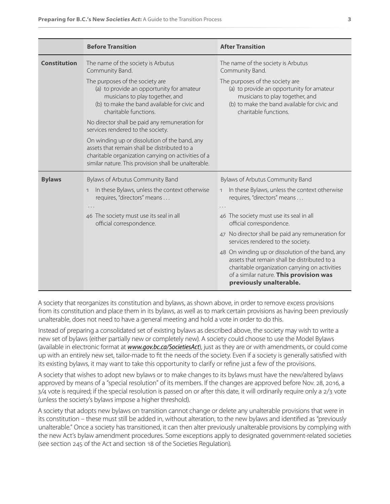|                     | <b>Before Transition</b>                                                                                                                                                                                     | <b>After Transition</b>                                                                                                                                                                                                  |
|---------------------|--------------------------------------------------------------------------------------------------------------------------------------------------------------------------------------------------------------|--------------------------------------------------------------------------------------------------------------------------------------------------------------------------------------------------------------------------|
| <b>Constitution</b> | The name of the society is Arbutus<br>Community Band.                                                                                                                                                        | The name of the society is Arbutus<br>Community Band.                                                                                                                                                                    |
|                     | The purposes of the society are<br>(a) to provide an opportunity for amateur<br>musicians to play together, and<br>(b) to make the band available for civic and<br>charitable functions.                     | The purposes of the society are<br>(a) to provide an opportunity for amateur<br>musicians to play together, and<br>(b) to make the band available for civic and<br>charitable functions.                                 |
|                     | No director shall be paid any remuneration for<br>services rendered to the society.                                                                                                                          |                                                                                                                                                                                                                          |
|                     | On winding up or dissolution of the band, any<br>assets that remain shall be distributed to a<br>charitable organization carrying on activities of a<br>similar nature. This provision shall be unalterable. |                                                                                                                                                                                                                          |
| <b>Bylaws</b>       | Bylaws of Arbutus Community Band                                                                                                                                                                             | Bylaws of Arbutus Community Band                                                                                                                                                                                         |
|                     | In these Bylaws, unless the context otherwise<br>$\mathbf{1}$<br>requires, "directors" means                                                                                                                 | In these Bylaws, unless the context otherwise<br>$\mathbf{1}$<br>requires, "directors" means                                                                                                                             |
|                     |                                                                                                                                                                                                              |                                                                                                                                                                                                                          |
|                     | 46 The society must use its seal in all<br>official correspondence.                                                                                                                                          | 46 The society must use its seal in all<br>official correspondence.                                                                                                                                                      |
|                     |                                                                                                                                                                                                              | 47 No director shall be paid any remuneration for<br>services rendered to the society.                                                                                                                                   |
|                     |                                                                                                                                                                                                              | 48 On winding up or dissolution of the band, any<br>assets that remain shall be distributed to a<br>charitable organization carrying on activities<br>of a similar nature. This provision was<br>previously unalterable. |

A society that reorganizes its constitution and bylaws, as shown above, in order to remove excess provisions from its constitution and place them in its bylaws, as well as to mark certain provisions as having been previously unalterable, does not need to have a general meeting and hold a vote in order to do this.

Instead of preparing a consolidated set of existing bylaws as described above, the society may wish to write a new set of bylaws (either partially new or completely new). A society could choose to use the Model Bylaws (available in electronic format at *[www.gov.bc.ca/SocietiesAct](http://www.gov.bc.ca/SocietiesAct)*), just as they are or with amendments, or could come up with an entirely new set, tailor-made to fit the needs of the society. Even if a society is generally satisfied with its existing bylaws, it may want to take this opportunity to clarify or refine just a few of the provisions.

A society that wishes to adopt new bylaws or to make changes to its bylaws must have the new/altered bylaws approved by means of a "special resolution" of its members. If the changes are approved before Nov. 28, 2016, a 3/4 vote is required; if the special resolution is passed on or after this date, it will ordinarily require only a 2/3 vote (unless the society's bylaws impose a higher threshold).

A society that adopts new bylaws on transition cannot change or delete any unalterable provisions that were in its constitution – these must still be added in, without alteration, to the new bylaws and identified as "previously unalterable." Once a society has transitioned, it can then alter previously unalterable provisions by complying with the new Act's bylaw amendment procedures. Some exceptions apply to designated government-related societies (see section 245 of the Act and section 18 of the Societies Regulation).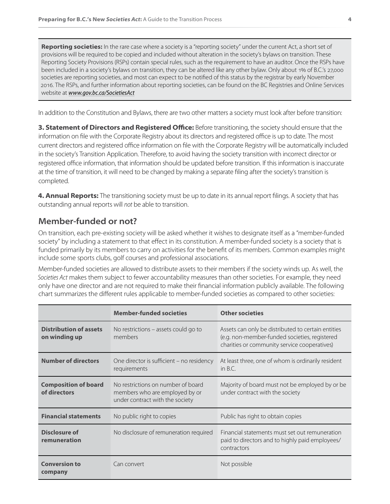**Reporting societies:** In the rare case where a society is a "reporting society" under the current Act, a short set of provisions will be required to be copied and included without alteration in the society's bylaws on transition. These Reporting Society Provisions (RSPs) contain special rules, such as the requirement to have an auditor. Once the RSPs have been included in a society's bylaws on transition, they can be altered like any other bylaw. Only about 1% of B.C.'s 27,000 societies are reporting societies, and most can expect to be notified of this status by the registrar by early November 2016. The RSPs, and further information about reporting societies, can be found on the BC Registries and Online Services website at *[www.gov.bc.ca/SocietiesAct](http://www.gov.bc.ca/SocietiesAct)*

In addition to the Constitution and Bylaws, there are two other matters a society must look after before transition:

**3. Statement of Directors and Registered Office:** Before transitioning, the society should ensure that the information on file with the Corporate Registry about its directors and registered office is up to date. The most current directors and registered office information on file with the Corporate Registry will be automatically included in the society's Transition Application. Therefore, to avoid having the society transition with incorrect director or registered office information, that information should be updated before transition. If this information is inaccurate at the time of transition, it will need to be changed by making a separate filing after the society's transition is completed.

**4. Annual Reports:** The transitioning society must be up to date in its annual report filings. A society that has outstanding annual reports will *not* be able to transition.

## **Member-funded or not?**

On transition, each pre-existing society will be asked whether it wishes to designate itself as a "member-funded society" by including a statement to that effect in its constitution. A member-funded society is a society that is funded primarily by its members to carry on activities for the benefit of its members. Common examples might include some sports clubs, golf courses and professional associations.

Member-funded societies are allowed to distribute assets to their members if the society winds up. As well, the *Societies Act* makes them subject to fewer accountability measures than other societies. For example, they need only have one director and are not required to make their financial information publicly available. The following chart summarizes the different rules applicable to member-funded societies as compared to other societies:

|                                                | <b>Member-funded societies</b>                                                                          | <b>Other societies</b>                                                                                                                              |
|------------------------------------------------|---------------------------------------------------------------------------------------------------------|-----------------------------------------------------------------------------------------------------------------------------------------------------|
| <b>Distribution of assets</b><br>on winding up | No restrictions – assets could go to<br>members                                                         | Assets can only be distributed to certain entities<br>(e.g. non-member-funded societies, registered<br>charities or community service cooperatives) |
| <b>Number of directors</b>                     | One director is sufficient – no residency<br>requirements                                               | At least three, one of whom is ordinarily resident<br>in $B.C.$                                                                                     |
| <b>Composition of board</b><br>of directors    | No restrictions on number of board<br>members who are employed by or<br>under contract with the society | Majority of board must not be employed by or be<br>under contract with the society                                                                  |
| <b>Financial statements</b>                    | No public right to copies                                                                               | Public has right to obtain copies                                                                                                                   |
| Disclosure of<br>remuneration                  | No disclosure of remuneration required                                                                  | Financial statements must set out remuneration<br>paid to directors and to highly paid employees/<br>contractors                                    |
| <b>Conversion to</b><br>company                | Can convert                                                                                             | Not possible                                                                                                                                        |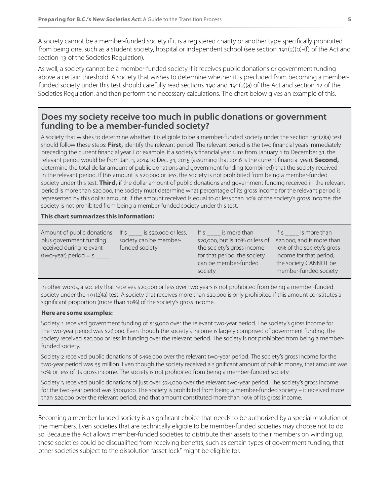A society cannot be a member-funded society if it is a registered charity or another type specifically prohibited from being one, such as a student society, hospital or independent school (see section 191(2)(b)-(f) of the Act and section 13 of the Societies Regulation).

As well, a society cannot be a member-funded society if it receives public donations or government funding above a certain threshold. A society that wishes to determine whether it is precluded from becoming a memberfunded society under this test should carefully read sections 190 and 191(2)(a) of the Act and section 12 of the Societies Regulation, and then perform the necessary calculations. The chart below gives an example of this.

### **Does my society receive too much in public donations or government funding to be a member-funded society?**

A society that wishes to determine whether it is eligible to be a member-funded society under the section 191(2)(a) test should follow these steps: **First,** identify the relevant period. The relevant period is the two financial years immediately preceding the current financial year. For example, if a society's financial year runs from January 1 to December 31, the relevant period would be from Jan. 1, 2014 to Dec. 31, 2015 (assuming that 2016 is the current financial year). **Second,** determine the total dollar amount of public donations and government funding (combined) that the society received in the relevant period. If this amount is \$20,000 or less, the society is not prohibited from being a member-funded society under this test. **Third,** if the dollar amount of public donations and government funding received in the relevant period is more than \$20,000, the society must determine what percentage of its gross income for the relevant period is represented by this dollar amount. If the amount received is equal to or less than 10% of the society's gross income, the society is not prohibited from being a member-funded society under this test.

#### **This chart summarizes this information:**

| Amount of public donations<br>plus government funding<br>received during relevant<br>(two-year) period = $\zeta$ ____ | If $\frac{1}{2}$ is \$20,000 or less,<br>society can be member-<br>funded society | If $\sinh(1 + \sinh(1))$ is more than<br>\$20,000, but is 10% or less of<br>the society's gross income<br>for that period, the society<br>can be member-funded<br>society | If s is more than<br>\$20,000, and is more than<br>10% of the society's gross<br>income for that period,<br>the society CANNOT be<br>member-funded society |
|-----------------------------------------------------------------------------------------------------------------------|-----------------------------------------------------------------------------------|---------------------------------------------------------------------------------------------------------------------------------------------------------------------------|------------------------------------------------------------------------------------------------------------------------------------------------------------|
|-----------------------------------------------------------------------------------------------------------------------|-----------------------------------------------------------------------------------|---------------------------------------------------------------------------------------------------------------------------------------------------------------------------|------------------------------------------------------------------------------------------------------------------------------------------------------------|

In other words, a society that receives \$20,000 or less over two years is not prohibited from being a member-funded society under the 191(2)(a) test. A society that receives more than \$20,000 is only prohibited if this amount constitutes a significant proportion (more than 10%) of the society's gross income.

#### **Here are some examples:**

Society 1 received government funding of \$19,000 over the relevant two-year period. The society's gross income for the two-year period was \$26,000. Even though the society's income is largely comprised of government funding, the society received \$20,000 or less in funding over the relevant period. The society is not prohibited from being a memberfunded society.

Society 2 received public donations of \$496,000 over the relevant two-year period. The society's gross income for the two-year period was \$5 million. Even though the society received a significant amount of public money, that amount was 10% or less of its gross income. The society is not prohibited from being a member-funded society.

Society 3 received public donations of just over \$24,000 over the relevant two-year period. The society's gross income for the two-year period was \$100,000. The society is prohibited from being a member-funded society – it received more than \$20,000 over the relevant period, and that amount constituted more than 10% of its gross income.

Becoming a member-funded society is a significant choice that needs to be authorized by a special resolution of the members. Even societies that are technically eligible to be member-funded societies may choose not to do so. Because the Act allows member-funded societies to distribute their assets to their members on winding up, these societies could be disqualified from receiving benefits, such as certain types of government funding, that other societies subject to the dissolution "asset lock" might be eligible for.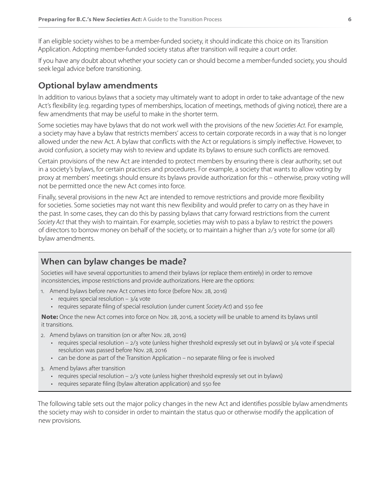If an eligible society wishes to be a member-funded society, it should indicate this choice on its Transition Application. Adopting member-funded society status after transition will require a court order.

If you have any doubt about whether your society can or should become a member-funded society, you should seek legal advice before transitioning.

## **Optional bylaw amendments**

In addition to various bylaws that a society may ultimately want to adopt in order to take advantage of the new Act's flexibility (e.g. regarding types of memberships, location of meetings, methods of giving notice), there are a few amendments that may be useful to make in the shorter term.

Some societies may have bylaws that do not work well with the provisions of the new *Societies Act*. For example, a society may have a bylaw that restricts members' access to certain corporate records in a way that is no longer allowed under the new Act. A bylaw that conflicts with the Act or regulations is simply ineffective. However, to avoid confusion, a society may wish to review and update its bylaws to ensure such conflicts are removed.

Certain provisions of the new Act are intended to protect members by ensuring there is clear authority, set out in a society's bylaws, for certain practices and procedures. For example, a society that wants to allow voting by proxy at members' meetings should ensure its bylaws provide authorization for this – otherwise, proxy voting will not be permitted once the new Act comes into force.

Finally, several provisions in the new Act are intended to remove restrictions and provide more flexibility for societies. Some societies may not want this new flexibility and would prefer to carry on as they have in the past. In some cases, they can do this by passing bylaws that carry forward restrictions from the current *Society Act* that they wish to maintain. For example, societies may wish to pass a bylaw to restrict the powers of directors to borrow money on behalf of the society, or to maintain a higher than 2/3 vote for some (or all) bylaw amendments.

## **When can bylaw changes be made?**

Societies will have several opportunities to amend their bylaws (or replace them entirely) in order to remove inconsistencies, impose restrictions and provide authorizations. Here are the options:

- 1. Amend bylaws before new Act comes into force (before Nov. 28, 2016)
	- requires special resolution  $-3/4$  vote
	- requires separate filing of special resolution (under current *Society Act*) and \$50 fee

**Note:** Once the new Act comes into force on Nov. 28, 2016, a society will be unable to amend its bylaws until it transitions.

- 2. Amend bylaws on transition (on or after Nov. 28, 2016)
	- requires special resolution 2/3 vote (unless higher threshold expressly set out in bylaws) or 3/4 vote if special resolution was passed before Nov. 28, 2016
	- can be done as part of the Transition Application no separate filing or fee is involved
- 3. Amend bylaws after transition
	- requires special resolution  $-2/3$  vote (unless higher threshold expressly set out in bylaws)
	- requires separate filing (bylaw alteration application) and \$50 fee

The following table sets out the major policy changes in the new Act and identifies possible bylaw amendments the society may wish to consider in order to maintain the status quo or otherwise modify the application of new provisions.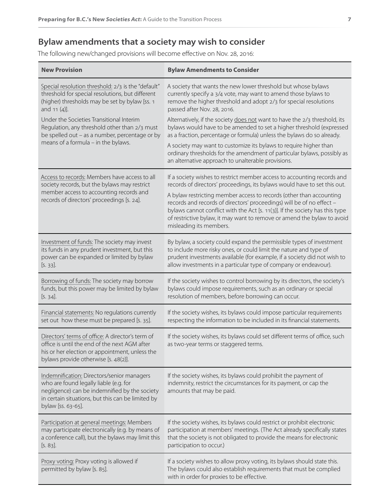## **Bylaw amendments that a society may wish to consider**

The following new/changed provisions will become effective on Nov. 28, 2016:

| <b>New Provision</b>                                                                                                                                                                                             | <b>Bylaw Amendments to Consider</b>                                                                                                                                                                                                                                                                                                |
|------------------------------------------------------------------------------------------------------------------------------------------------------------------------------------------------------------------|------------------------------------------------------------------------------------------------------------------------------------------------------------------------------------------------------------------------------------------------------------------------------------------------------------------------------------|
| Special resolution threshold: 2/3 is the "default"                                                                                                                                                               | A society that wants the new lower threshold but whose bylaws                                                                                                                                                                                                                                                                      |
| threshold for special resolutions, but different                                                                                                                                                                 | currently specify a 3/4 vote, may want to amend those bylaws to                                                                                                                                                                                                                                                                    |
| (higher) thresholds may be set by bylaw [ss. 1                                                                                                                                                                   | remove the higher threshold and adopt 2/3 for special resolutions                                                                                                                                                                                                                                                                  |
| and $11(4)$ ].                                                                                                                                                                                                   | passed after Nov. 28, 2016.                                                                                                                                                                                                                                                                                                        |
| Under the Societies Transitional Interim                                                                                                                                                                         | Alternatively, if the society does not want to have the 2/3 threshold, its                                                                                                                                                                                                                                                         |
| Regulation, any threshold other than 2/3 must                                                                                                                                                                    | bylaws would have to be amended to set a higher threshold (expressed                                                                                                                                                                                                                                                               |
| be spelled out - as a number, percentage or by                                                                                                                                                                   | as a fraction, percentage or formula) unless the bylaws do so already.                                                                                                                                                                                                                                                             |
| means of a formula - in the bylaws.                                                                                                                                                                              | A society may want to customize its bylaws to require higher than<br>ordinary thresholds for the amendment of particular bylaws, possibly as<br>an alternative approach to unalterable provisions.                                                                                                                                 |
| Access to records: Members have access to all                                                                                                                                                                    | If a society wishes to restrict member access to accounting records and                                                                                                                                                                                                                                                            |
| society records, but the bylaws may restrict                                                                                                                                                                     | records of directors' proceedings, its bylaws would have to set this out.                                                                                                                                                                                                                                                          |
| member access to accounting records and<br>records of directors' proceedings [s. 24].                                                                                                                            | A bylaw restricting member access to records (other than accounting<br>records and records of directors' proceedings) will be of no effect -<br>bylaws cannot conflict with the Act [s. 11(3)]. If the society has this type<br>of restrictive bylaw, it may want to remove or amend the bylaw to avoid<br>misleading its members. |
| Investment of funds: The society may invest                                                                                                                                                                      | By bylaw, a society could expand the permissible types of investment                                                                                                                                                                                                                                                               |
| its funds in any prudent investment, but this                                                                                                                                                                    | to include more risky ones, or could limit the nature and type of                                                                                                                                                                                                                                                                  |
| power can be expanded or limited by bylaw                                                                                                                                                                        | prudent investments available (for example, if a society did not wish to                                                                                                                                                                                                                                                           |
| $[5.33]$ .                                                                                                                                                                                                       | allow investments in a particular type of company or endeavour).                                                                                                                                                                                                                                                                   |
| Borrowing of funds: The society may borrow                                                                                                                                                                       | If the society wishes to control borrowing by its directors, the society's                                                                                                                                                                                                                                                         |
| funds, but this power may be limited by bylaw                                                                                                                                                                    | bylaws could impose requirements, such as an ordinary or special                                                                                                                                                                                                                                                                   |
| $[5.34]$ .                                                                                                                                                                                                       | resolution of members, before borrowing can occur.                                                                                                                                                                                                                                                                                 |
| Financial statements: No regulations currently                                                                                                                                                                   | If the society wishes, its bylaws could impose particular requirements                                                                                                                                                                                                                                                             |
| set out how these must be prepared [s. 35].                                                                                                                                                                      | respecting the information to be included in its financial statements.                                                                                                                                                                                                                                                             |
| Directors' terms of office: A director's term of<br>office is until the end of the next AGM after<br>his or her election or appointment, unless the<br>bylaws provide otherwise [s. 48(2)].                      | If the society wishes, its bylaws could set different terms of office, such<br>as two-year terms or staggered terms.                                                                                                                                                                                                               |
| Indemnification: Directors/senior managers<br>who are found legally liable (e.g. for<br>negligence) can be indemnified by the society<br>in certain situations, but this can be limited by<br>bylaw [ss. 63-65]. | If the society wishes, its bylaws could prohibit the payment of<br>indemnity, restrict the circumstances for its payment, or cap the<br>amounts that may be paid.                                                                                                                                                                  |
| Participation at general meetings: Members                                                                                                                                                                       | If the society wishes, its bylaws could restrict or prohibit electronic                                                                                                                                                                                                                                                            |
| may participate electronically (e.g. by means of                                                                                                                                                                 | participation at members' meetings. (The Act already specifically states                                                                                                                                                                                                                                                           |
| a conference call), but the bylaws may limit this                                                                                                                                                                | that the society is not obligated to provide the means for electronic                                                                                                                                                                                                                                                              |
| $[5.83]$ .                                                                                                                                                                                                       | participation to occur.)                                                                                                                                                                                                                                                                                                           |
| Proxy voting: Proxy voting is allowed if<br>permitted by bylaw [s. 85].                                                                                                                                          | If a society wishes to allow proxy voting, its bylaws should state this.<br>The bylaws could also establish requirements that must be complied<br>with in order for proxies to be effective.                                                                                                                                       |